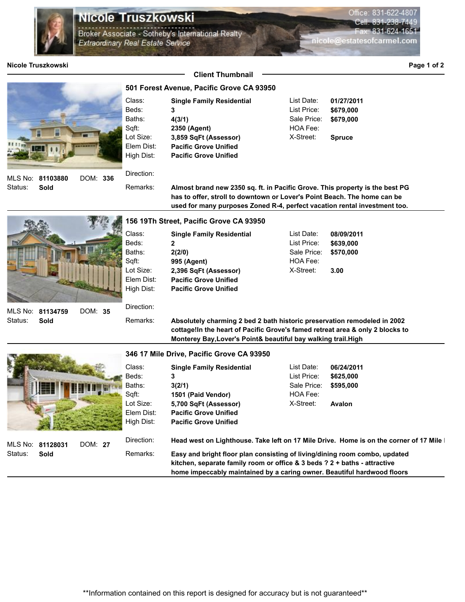

## Nicole Truszkowski

Remarks:

.<br>Broker Associate - Sotheby's International Realty Extraordinary Real Estate Service

**Nicole Truszkowski Page 1 of 2 Client Thumbnail 501 Forest Avenue, Pacific Grove CA 93950** Status: List Price: **\$679,000** List Date: **01/27/2011** DOM: **336** Beds: Sqft: Lot Size: **81103880** MLS No: Class: **2350 (Agent) 3,859 SqFt (Assessor)** Baths: Elem Dist: **Pacific Grove Unified** High Dist: **Pacific Grove Unified** Sale Price: **\$679,000 Sold** HOA Fee: X-Street: **Spruce** Direction: **Almost brand new 2350 sq. ft. in Pacific Grove. This property is the best PG**  Remarks: **Single Family Residential 3 4(3/1)**

Beds: Sqft: Lot Size: Class: Baths: **Elem Dist High Dis** Direction:

Status: DOM: **35 81134759** MLS No: **Sold**

**The Committee of the Committee of the Committee of the Committee of the Committee of the Committee of the Committee of the Committee of the Committee of the Committee of the Committee of the Committee of the Committee of** 

## **156 19Th Street, Pacific Grove CA 93950**

|      | <b>Single Family Residential</b> | List Date:  | 08/09/2011 |
|------|----------------------------------|-------------|------------|
|      | 2                                | List Price: | \$639,000  |
|      | 2(2/0)                           | Sale Price: | \$570.000  |
|      | 995 (Agent)                      | HOA Fee:    |            |
| ĭ.   | 2,396 SqFt (Assessor)            | X-Street:   | 3.00       |
| ist: | <b>Pacific Grove Unified</b>     |             |            |
| st:  | <b>Pacific Grove Unified</b>     |             |            |
|      |                                  |             |            |

**Absolutely charming 2 bed 2 bath historic preservation remodeled in 2002 cottage!In the heart of Pacific Grove's famed retreat area & only 2 blocks to Monterey Bay,Lover's Point& beautiful bay walking trail.High** 

**has to offer, stroll to downtown or Lover's Point Beach. The home can be used for many purposes Zoned R-4, perfect vacation rental investment too.** 

## **346 17 Mile Drive, Pacific Grove CA 93950**

| Ę.                                  |         | Class:<br>Beds:<br>Baths:<br>Sqft:    | <b>Single Family Residential</b><br>3(2/1)                                                                                                                                                                                                                                                                                   | List Date:<br>List Price:<br>Sale Price:<br>HOA Fee: | 06/24/2011<br>\$625,000<br>\$595,000 |  |  |  |
|-------------------------------------|---------|---------------------------------------|------------------------------------------------------------------------------------------------------------------------------------------------------------------------------------------------------------------------------------------------------------------------------------------------------------------------------|------------------------------------------------------|--------------------------------------|--|--|--|
|                                     |         | Lot Size:<br>Elem Dist:<br>High Dist: | 1501 (Paid Vendor)<br>5,700 SqFt (Assessor)<br><b>Pacific Grove Unified</b><br><b>Pacific Grove Unified</b>                                                                                                                                                                                                                  | X-Street:                                            | <b>Avalon</b>                        |  |  |  |
| MLS No: 81128031<br>Status:<br>Sold | DOM: 27 | Direction:<br>Remarks:                | Head west on Lighthouse. Take left on 17 Mile Drive. Home is on the corner of 17 Mile<br>Easy and bright floor plan consisting of living/dining room combo, updated<br>kitchen, separate family room or office & 3 beds $?2 +$ baths - attractive<br>home impeccably maintained by a caring owner. Beautiful hardwood floors |                                                      |                                      |  |  |  |

Office: 831-622-4807 Cell 83

nicole@estatesofcarmel.com

831-624-1651

\*\*Information contained on this report is designed for accuracy but is not guaranteed\*\*